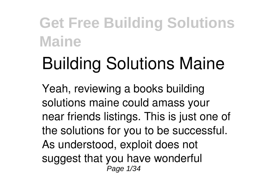# **Building Solutions Maine**

Yeah, reviewing a books **building solutions maine** could amass your near friends listings. This is just one of the solutions for you to be successful. As understood, exploit does not suggest that you have wonderful Page 1/34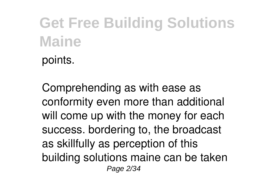points.

Comprehending as with ease as conformity even more than additional will come up with the money for each success. bordering to, the broadcast as skillfully as perception of this building solutions maine can be taken Page 2/34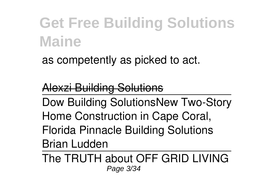as competently as picked to act.

#### Alexzi Building Solutions

Dow Building Solutions**New Two-Story Home Construction in Cape Coral, Florida Pinnacle Building Solutions Brian Ludden**

The TRUTH about OFF GRID LIVING Page 3/34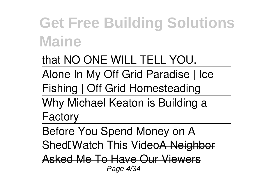that NO ONE WILL TELL YOU. Alone In My Off Grid Paradise | Ice Fishing | Off Grid Homesteading Why Michael Keaton is Building a

Factory

Before You Spend Money on A Shed Match This Video A Neigh Asked Me To Have Our Viewers

Page 4/34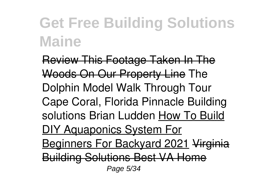Review This Footage Taken In The Woods On Our Property Line *The Dolphin Model Walk Through Tour Cape Coral, Florida Pinnacle Building solutions Brian Ludden* How To Build DIY Aquaponics System For Beginners For Backyard 2021 Virginia Building Solutions Best VA Home Page 5/34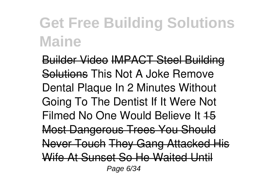Builder Video IMPACT Steel Building Solutions **This Not A Joke Remove Dental Plaque In 2 Minutes Without Going To The Dentist** *If It Were Not* **Filmed No One Would Believe It 45** Most Dangerous Trees You Should Never Touch They Gang Attacked His Wife At Sunset So He Waited Until Page 6/34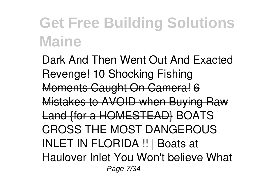Dark And Then Went Out And Exacted Revenge! 10 Shocking Fishing Moments Caught On Camera! 6 Mistakes to AVOID when Buying Raw Land {for a HOMESTEAD} *BOATS CROSS THE MOST DANGEROUS INLET IN FLORIDA !! | Boats at Haulover Inlet* You Won't believe What Page 7/34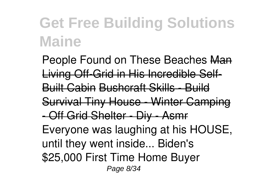People Found on These Beaches Man Living Off-Grid in His Incredible Self-Built Cabin Bushcraft Skills - Build Survival Tiny House - Winter Camping - Off Grid Shelter - Diy - Asmr Everyone was laughing at his HOUSE, until they went inside... **Biden's \$25,000 First Time Home Buyer** Page 8/34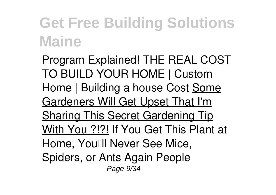**Program Explained!** *THE REAL COST TO BUILD YOUR HOME | Custom Home | Building a house Cost* Some Gardeners Will Get Upset That I'm Sharing This Secret Gardening Tip With You ?!?! *If You Get This Plant at Home, You'll Never See Mice, Spiders, or Ants Again People* Page  $9/34$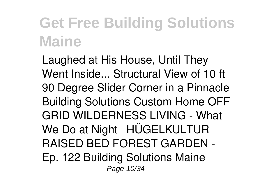*Laughed at His House, Until They Went Inside... Structural View of 10 ft 90 Degree Slider Corner in a Pinnacle Building Solutions Custom Home OFF GRID WILDERNESS LIVING - What We Do at Night | HÜGELKULTUR RAISED BED FOREST GARDEN - Ep. 122* Building Solutions Maine Page 10/34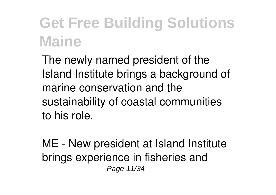The newly named president of the Island Institute brings a background of marine conservation and the sustainability of coastal communities to his role.

ME - New president at Island Institute brings experience in fisheries and Page 11/34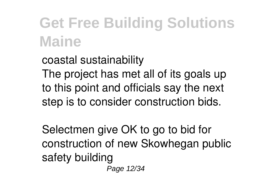coastal sustainability The project has met all of its goals up to this point and officials say the next step is to consider construction bids.

Selectmen give OK to go to bid for construction of new Skowhegan public safety building Page 12/34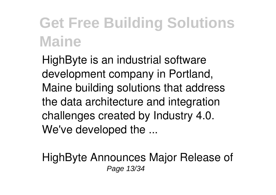HighByte is an industrial software development company in Portland, Maine building solutions that address the data architecture and integration challenges created by Industry 4.0. We've developed the ...

HighByte Announces Major Release of Page 13/34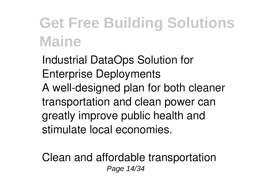Industrial DataOps Solution for Enterprise Deployments A well-designed plan for both cleaner transportation and clean power can greatly improve public health and stimulate local economies.

Clean and affordable transportation Page 14/34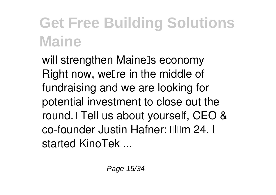will strengthen Mainels economy Right now, well re in the middle of fundraising and we are looking for potential investment to close out the round.<sup>[]</sup> Tell us about yourself, CEO & co-founder Justin Hafner: Illim 24. I started KinoTek ...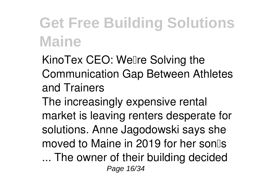KinoTex CEO: Wellre Solving the Communication Gap Between Athletes and Trainers The increasingly expensive rental market is leaving renters desperate for solutions. Anne Jagodowski says she moved to Maine in 2019 for her son ... The owner of their building decided Page 16/34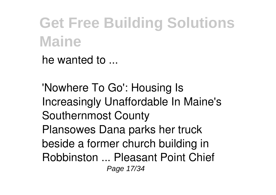he wanted to ...

'Nowhere To Go': Housing Is Increasingly Unaffordable In Maine's Southernmost County Plansowes Dana parks her truck beside a former church building in Robbinston ... Pleasant Point Chief Page 17/34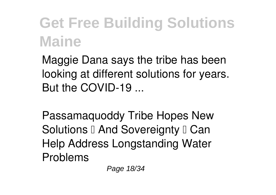Maggie Dana says the tribe has been looking at different solutions for years. But the COVID-19 ...

Passamaquoddy Tribe Hopes New Solutions  $\Box$  And Sovereignty  $\Box$  Can Help Address Longstanding Water Problems

Page 18/34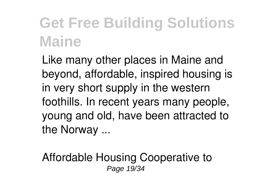Like many other places in Maine and beyond, affordable, inspired housing is in very short supply in the western foothills. In recent years many people, young and old, have been attracted to the Norway ...

Affordable Housing Cooperative to Page 19/34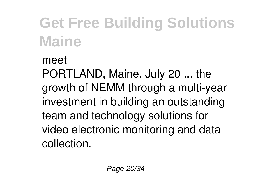#### meet

PORTLAND, Maine, July 20 ... the growth of NEMM through a multi-year investment in building an outstanding team and technology solutions for video electronic monitoring and data collection.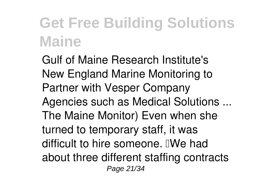Gulf of Maine Research Institute's New England Marine Monitoring to Partner with Vesper Company Agencies such as Medical Solutions ... The Maine Monitor) Even when she turned to temporary staff, it was difficult to hire someone. **TWe had** about three different staffing contracts Page 21/34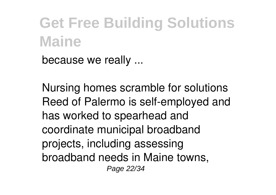because we really ...

Nursing homes scramble for solutions Reed of Palermo is self-employed and has worked to spearhead and coordinate municipal broadband projects, including assessing broadband needs in Maine towns, Page 22/34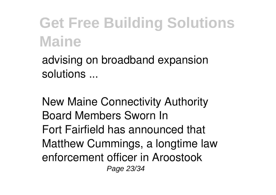advising on broadband expansion solutions ...

New Maine Connectivity Authority Board Members Sworn In Fort Fairfield has announced that Matthew Cummings, a longtime law enforcement officer in Aroostook Page 23/34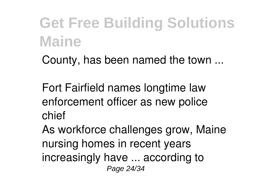County, has been named the town ...

Fort Fairfield names longtime law enforcement officer as new police chief

As workforce challenges grow, Maine nursing homes in recent years increasingly have ... according to Page 24/34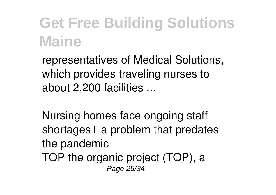representatives of Medical Solutions, which provides traveling nurses to about 2,200 facilities ...

Nursing homes face ongoing staff shortages  $\Box$  a problem that predates the pandemic TOP the organic project (TOP), a Page 25/34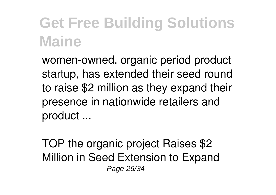women-owned, organic period product startup, has extended their seed round to raise \$2 million as they expand their presence in nationwide retailers and product ...

TOP the organic project Raises \$2 Million in Seed Extension to Expand Page 26/34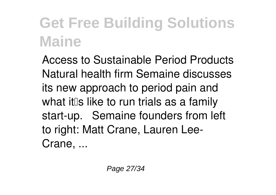Access to Sustainable Period Products Natural health firm Semaine discusses its new approach to period pain and what it  $\mathbb I$ s like to run trials as a family start-up. Semaine founders from left to right: Matt Crane, Lauren Lee-Crane, ...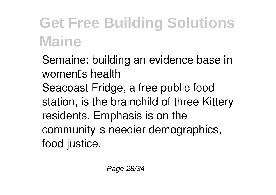Semaine: building an evidence base in women's health Seacoast Fridge, a free public food station, is the brainchild of three Kittery residents. Emphasis is on the community<sup>[]</sup>s needier demographics, food justice.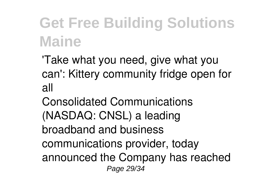'Take what you need, give what you can': Kittery community fridge open for all

Consolidated Communications (NASDAQ: CNSL) a leading broadband and business communications provider, today announced the Company has reached Page 29/34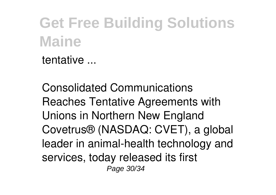tentative ...

Consolidated Communications Reaches Tentative Agreements with Unions in Northern New England Covetrus® (NASDAQ: CVET), a global leader in animal-health technology and services, today released its first Page 30/34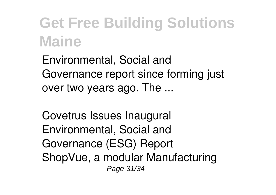Environmental, Social and Governance report since forming just over two years ago. The ...

Covetrus Issues Inaugural Environmental, Social and Governance (ESG) Report ShopVue, a modular Manufacturing Page 31/34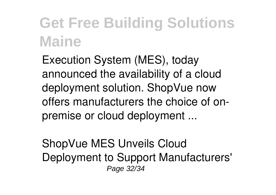Execution System (MES), today announced the availability of a cloud deployment solution. ShopVue now offers manufacturers the choice of onpremise or cloud deployment ...

ShopVue MES Unveils Cloud Deployment to Support Manufacturers' Page 32/34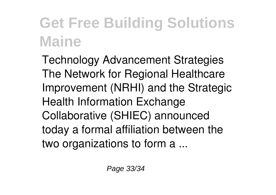Technology Advancement Strategies The Network for Regional Healthcare Improvement (NRHI) and the Strategic Health Information Exchange Collaborative (SHIEC) announced today a formal affiliation between the two organizations to form a ...